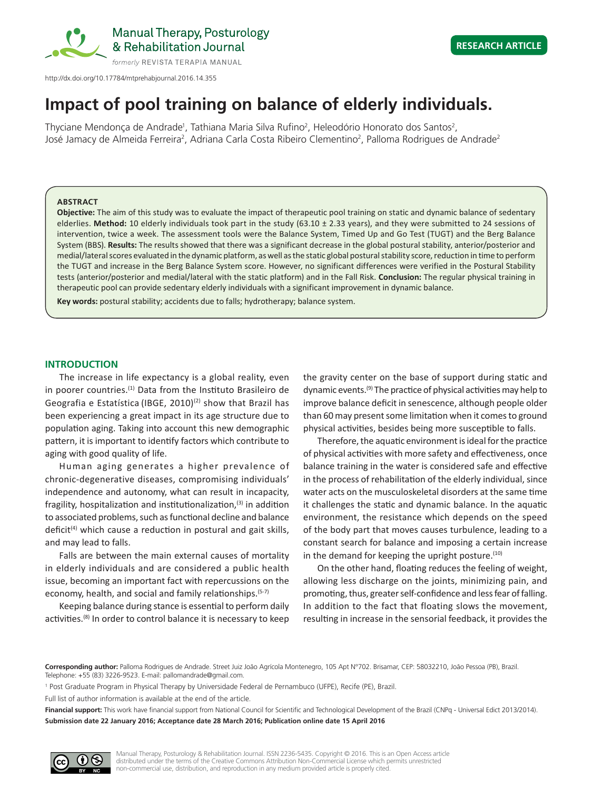

http://dx.doi.org/10.17784/mtprehabjournal.2016.14.355

# **Impact of pool training on balance of elderly individuals.**

Thyciane Mendonça de Andrade<sup>1</sup>, Tathiana Maria Silva Rufino<sup>2</sup>, Heleodório Honorato dos Santos<sup>2</sup>, José Jamacy de Almeida Ferreira<sup>2</sup>, Adriana Carla Costa Ribeiro Clementino<sup>2</sup>, Palloma Rodrigues de Andrade<sup>2</sup>

#### **ABSTRACT**

**Objective:** The aim of this study was to evaluate the impact of therapeutic pool training on static and dynamic balance of sedentary elderlies. **Method:** 10 elderly individuals took part in the study (63.10 ± 2.33 years), and they were submitted to 24 sessions of intervention, twice a week. The assessment tools were the Balance System, Timed Up and Go Test (TUGT) and the Berg Balance System (BBS). **Results:** The results showed that there was a significant decrease in the global postural stability, anterior/posterior and medial/lateral scores evaluated in the dynamic platform, as well as the static global postural stability score, reduction in time to perform the TUGT and increase in the Berg Balance System score. However, no significant differences were verified in the Postural Stability tests (anterior/posterior and medial/lateral with the static platform) and in the Fall Risk. **Conclusion:** The regular physical training in therapeutic pool can provide sedentary elderly individuals with a significant improvement in dynamic balance.

**Key words:** postural stability; accidents due to falls; hydrotherapy; balance system.

## **INTRODUCTION**

The increase in life expectancy is a global reality, even in poorer countries.<sup>(1)</sup> Data from the Instituto Brasileiro de Geografia e Estatística (IBGE, 2010)<sup>(2)</sup> show that Brazil has been experiencing a great impact in its age structure due to population aging. Taking into account this new demographic pattern, it is important to identify factors which contribute to aging with good quality of life.

Human aging generates a higher prevalence of chronic-degenerative diseases, compromising individuals' independence and autonomy, what can result in incapacity, fragility, hospitalization and institutionalization, $(3)$  in addition to associated problems, such as functional decline and balance deficit<sup>(4)</sup> which cause a reduction in postural and gait skills, and may lead to falls.

Falls are between the main external causes of mortality in elderly individuals and are considered a public health issue, becoming an important fact with repercussions on the economy, health, and social and family relationships.(5-7)

Keeping balance during stance is essential to perform daily activities.<sup>(8)</sup> In order to control balance it is necessary to keep the gravity center on the base of support during static and dynamic events.(9) The practice of physical activities may help to improve balance deficit in senescence, although people older than 60 may present some limitation when it comes to ground physical activities, besides being more susceptible to falls.

Therefore, the aquatic environment is ideal for the practice of physical activities with more safety and effectiveness, once balance training in the water is considered safe and effective in the process of rehabilitation of the elderly individual, since water acts on the musculoskeletal disorders at the same time it challenges the static and dynamic balance. In the aquatic environment, the resistance which depends on the speed of the body part that moves causes turbulence, leading to a constant search for balance and imposing a certain increase in the demand for keeping the upright posture. $(10)$ 

On the other hand, floating reduces the feeling of weight, allowing less discharge on the joints, minimizing pain, and promoting, thus, greater self-confidence and less fear of falling. In addition to the fact that floating slows the movement, resulting in increase in the sensorial feedback, it provides the

**Corresponding author:** Palloma Rodrigues de Andrade. Street Juiz João Agrícola Montenegro, 105 Apt N°702. Brisamar, CEP: 58032210, João Pessoa (PB), Brazil. Telephone: +55 (83) 3226-9523. E-mail: pallomandrade@gmail.com.

1 Post Graduate Program in Physical Therapy by Universidade Federal de Pernambuco (UFPE), Recife (PE), Brazil.

Full list of author information is available at the end of the article.

Financial support: This work have financial support from National Council for Scientific and Technological Development of the Brazil (CNPq - Universal Edict 2013/2014). **Submission date 22 January 2016; Acceptance date 28 March 2016; Publication online date 15 April 2016**

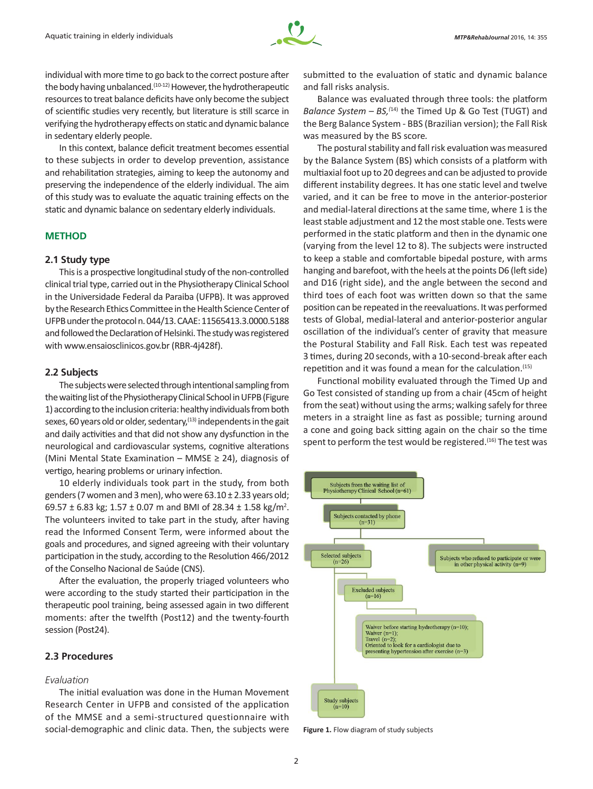

individual with more time to go back to the correct posture after the body having unbalanced.<sup>(10-12)</sup> However, the hydrotherapeutic resources to treat balance deficits have only become the subject of scientific studies very recently, but literature is still scarce in verifying the hydrotherapy effects on static and dynamic balance in sedentary elderly people.

In this context, balance deficit treatment becomes essential to these subjects in order to develop prevention, assistance and rehabilitation strategies, aiming to keep the autonomy and preserving the independence of the elderly individual. The aim of this study was to evaluate the aquatic training effects on the static and dynamic balance on sedentary elderly individuals.

## **METHOD**

#### **2.1 Study type**

This is a prospective longitudinal study of the non‑controlled clinical trial type, carried out in the Physiotherapy Clinical School in the Universidade Federal da Paraiba (UFPB). It was approved by the Research Ethics Committee in the Health Science Center of UFPB under the protocol n. 044/13. CAAE: 11565413.3.0000.5188 and followed the Declaration of Helsinki. The study was registered with www.ensaiosclinicos.gov.br (RBR-4j428f).

### **2.2 Subjects**

The subjects were selected through intentional sampling from the waiting list of the Physiotherapy Clinical School in UFPB (Figure 1) according to the inclusion criteria: healthy individuals from both sexes, 60 years old or older, sedentary, $(13)$  independents in the gait and daily activities and that did not show any dysfunction in the neurological and cardiovascular systems, cognitive alterations (Mini Mental State Examination – MMSE  $\geq$  24), diagnosis of vertigo, hearing problems or urinary infection.

10 elderly individuals took part in the study, from both genders (7 women and 3 men), who were  $63.10 \pm 2.33$  years old; 69.57  $\pm$  6.83 kg; 1.57  $\pm$  0.07 m and BMI of 28.34  $\pm$  1.58 kg/m<sup>2</sup>. The volunteers invited to take part in the study, after having read the Informed Consent Term, were informed about the goals and procedures, and signed agreeing with their voluntary participation in the study, according to the Resolution 466/2012 of the Conselho Nacional de Saúde (CNS).

After the evaluation, the properly triaged volunteers who were according to the study started their participation in the therapeutic pool training, being assessed again in two different moments: after the twelfth (Post12) and the twenty-fourth session (Post24).

# **2.3 Procedures**

## *Evaluation*

The initial evaluation was done in the Human Movement Research Center in UFPB and consisted of the application of the MMSE and a semi-structured questionnaire with social-demographic and clinic data. Then, the subjects were submitted to the evaluation of static and dynamic balance and fall risks analysis.

Balance was evaluated through three tools: the platform *Balance System – BS,(*14) the Timed Up & Go Test (TUGT) and the Berg Balance System - BBS (Brazilian version); the Fall Risk was measured by the BS score*.*

The postural stability and fall risk evaluation was measured by the Balance System (BS) which consists of a platform with multiaxial foot up to 20 degrees and can be adjusted to provide different instability degrees. It has one static level and twelve varied, and it can be free to move in the anterior-posterior and medial-lateral directions at the same time, where 1 is the least stable adjustment and 12 the most stable one. Tests were performed in the static platform and then in the dynamic one (varying from the level 12 to 8). The subjects were instructed to keep a stable and comfortable bipedal posture, with arms hanging and barefoot, with the heels at the points D6 (left side) and D16 (right side), and the angle between the second and third toes of each foot was written down so that the same position can be repeated in the reevaluations. It was performed tests of Global, medial-lateral and anterior-posterior angular oscillation of the individual's center of gravity that measure the Postural Stability and Fall Risk. Each test was repeated 3 times, during 20 seconds, with a 10-second-break after each repetition and it was found a mean for the calculation.(15)

Functional mobility evaluated through the Timed Up and Go Test consisted of standing up from a chair (45cm of height from the seat) without using the arms; walking safely for three meters in a straight line as fast as possible; turning around a cone and going back sitting again on the chair so the time spent to perform the test would be registered.<sup>(16)</sup> The test was



**Figure 1.** Flow diagram of study subjects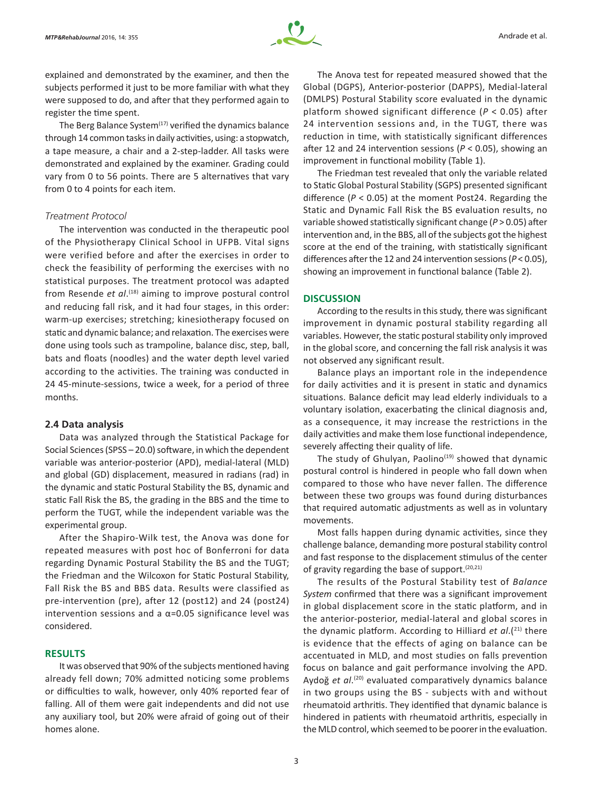

explained and demonstrated by the examiner, and then the subjects performed it just to be more familiar with what they were supposed to do, and after that they performed again to register the time spent.

The Berg Balance System $(17)$  verified the dynamics balance through 14 common tasks in daily activities, using: a stopwatch, a tape measure, a chair and a 2-step-ladder. All tasks were demonstrated and explained by the examiner. Grading could vary from 0 to 56 points. There are 5 alternatives that vary from 0 to 4 points for each item.

#### *Treatment Protocol*

The intervention was conducted in the therapeutic pool of the Physiotherapy Clinical School in UFPB. Vital signs were verified before and after the exercises in order to check the feasibility of performing the exercises with no statistical purposes. The treatment protocol was adapted from Resende *et al*. (18) aiming to improve postural control and reducing fall risk, and it had four stages, in this order: warm-up exercises; stretching; kinesiotherapy focused on static and dynamic balance; and relaxation. The exercises were done using tools such as trampoline, balance disc, step, ball, bats and floats (noodles) and the water depth level varied according to the activities. The training was conducted in 24 45-minute-sessions, twice a week, for a period of three months.

#### **2.4 Data analysis**

Data was analyzed through the Statistical Package for Social Sciences (SPSS – 20.0) software, in which the dependent variable was anterior-posterior (APD), medial-lateral (MLD) and global (GD) displacement, measured in radians (rad) in the dynamic and static Postural Stability the BS, dynamic and static Fall Risk the BS, the grading in the BBS and the time to perform the TUGT, while the independent variable was the experimental group.

After the Shapiro-Wilk test, the Anova was done for repeated measures with post hoc of Bonferroni for data regarding Dynamic Postural Stability the BS and the TUGT; the Friedman and the Wilcoxon for Static Postural Stability, Fall Risk the BS and BBS data. Results were classified as pre-intervention (pre), after 12 (post12) and 24 (post24) intervention sessions and a  $\alpha$ =0.05 significance level was considered.

# **RESULTS**

It was observed that 90% of the subjects mentioned having already fell down; 70% admitted noticing some problems or difficulties to walk, however, only 40% reported fear of falling. All of them were gait independents and did not use any auxiliary tool, but 20% were afraid of going out of their homes alone.

The Anova test for repeated measured showed that the Global (DGPS), Anterior-posterior (DAPPS), Medial‑lateral (DMLPS) Postural Stability score evaluated in the dynamic platform showed significant difference (*P* < 0.05) after 24 intervention sessions and, in the TUGT, there was reduction in time, with statistically significant differences after 12 and 24 intervention sessions (*P* < 0.05), showing an improvement in functional mobility (Table 1).

The Friedman test revealed that only the variable related to Static Global Postural Stability (SGPS) presented significant difference (*P* < 0.05) at the moment Post24. Regarding the Static and Dynamic Fall Risk the BS evaluation results, no variable showed statistically significant change (*P* > 0.05) after intervention and, in the BBS, all of the subjects got the highest score at the end of the training, with statistically significant differences after the 12 and 24 intervention sessions (*P* < 0.05), showing an improvement in functional balance (Table 2).

#### **DISCUSSION**

According to the results in this study, there was significant improvement in dynamic postural stability regarding all variables. However, the static postural stability only improved in the global score, and concerning the fall risk analysis it was not observed any significant result.

Balance plays an important role in the independence for daily activities and it is present in static and dynamics situations. Balance deficit may lead elderly individuals to a voluntary isolation, exacerbating the clinical diagnosis and, as a consequence, it may increase the restrictions in the daily activities and make them lose functional independence, severely affecting their quality of life.

The study of Ghulyan, Paolino $(19)$  showed that dynamic postural control is hindered in people who fall down when compared to those who have never fallen. The difference between these two groups was found during disturbances that required automatic adjustments as well as in voluntary movements.

Most falls happen during dynamic activities, since they challenge balance, demanding more postural stability control and fast response to the displacement stimulus of the center of gravity regarding the base of support.(20,21)

The results of the Postural Stability test of *Balance System* confirmed that there was a significant improvement in global displacement score in the static platform, and in the anterior‑posterior, medial-lateral and global scores in the dynamic platform. According to Hilliard *et al.*(<sup>21)</sup> there is evidence that the effects of aging on balance can be accentuated in MLD, and most studies on falls prevention focus on balance and gait performance involving the APD. Aydoğ *et al*. (20) evaluated comparatively dynamics balance in two groups using the BS - subjects with and without rheumatoid arthritis. They identified that dynamic balance is hindered in patients with rheumatoid arthritis, especially in the MLD control, which seemed to be poorer in the evaluation.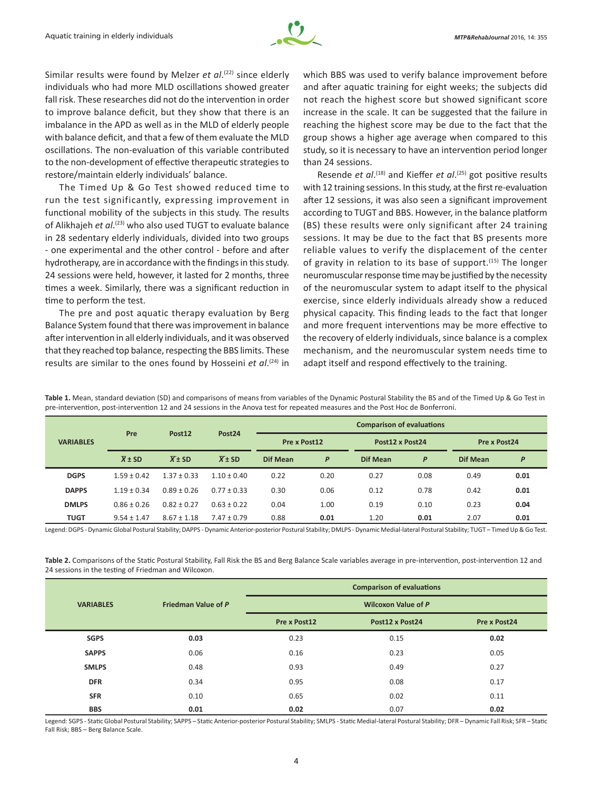

Similar results were found by Melzer *et al*.<sup>(22)</sup> since elderly individuals who had more MLD oscillations showed greater fall risk. These researches did not do the intervention in order to improve balance deficit, but they show that there is an imbalance in the APD as well as in the MLD of elderly people with balance deficit, and that a few of them evaluate the MLD oscillations. The non-evaluation of this variable contributed to the non-development of effective therapeutic strategies to restore/maintain elderly individuals' balance.

The Timed Up & Go Test showed reduced time to run the test significantly, expressing improvement in functional mobility of the subjects in this study. The results of Alikhajeh *et al*. (23) who also used TUGT to evaluate balance in 28 sedentary elderly individuals, divided into two groups - one experimental and the other control - before and after hydrotherapy, are in accordance with the findings in this study. 24 sessions were held, however, it lasted for 2 months, three times a week. Similarly, there was a significant reduction in time to perform the test.

The pre and post aquatic therapy evaluation by Berg Balance System found that there was improvement in balance after intervention in all elderly individuals, and it was observed that they reached top balance, respecting the BBS limits. These results are similar to the ones found by Hosseini *et al*. (24) in which BBS was used to verify balance improvement before and after aquatic training for eight weeks; the subjects did not reach the highest score but showed significant score increase in the scale. It can be suggested that the failure in reaching the highest score may be due to the fact that the group shows a higher age average when compared to this study, so it is necessary to have an intervention period longer than 24 sessions.

Resende *et al*.<sup>(18)</sup> and Kieffer *et al*.<sup>(25)</sup> got positive results with 12 training sessions. In this study, at the first re-evaluation after 12 sessions, it was also seen a significant improvement according to TUGT and BBS. However, in the balance platform (BS) these results were only significant after 24 training sessions. It may be due to the fact that BS presents more reliable values to verify the displacement of the center of gravity in relation to its base of support.<sup>(15)</sup> The longer neuromuscular response time may be justified by the necessity of the neuromuscular system to adapt itself to the physical exercise, since elderly individuals already show a reduced physical capacity. This finding leads to the fact that longer and more frequent interventions may be more effective to the recovery of elderly individuals, since balance is a complex mechanism, and the neuromuscular system needs time to adapt itself and respond effectively to the training.

Table 1. Mean, standard deviation (SD) and comparisons of means from variables of the Dynamic Postural Stability the BS and of the Timed Up & Go Test in pre-intervention, post-intervention 12 and 24 sessions in the Anova test for repeated measures and the Post Hoc de Bonferroni.

| <b>VARIABLES</b> | Pre                 | Post <sub>12</sub>  | Post <sub>24</sub>  | <b>Comparison of evaluations</b> |      |                 |      |                 |      |
|------------------|---------------------|---------------------|---------------------|----------------------------------|------|-----------------|------|-----------------|------|
|                  |                     |                     |                     | Pre x Post12                     |      | Post12 x Post24 |      | Pre x Post24    |      |
|                  | $\overline{X}$ ± SD | $\overline{X}$ ± SD | $\overline{X}$ ± SD | <b>Dif Mean</b>                  | P    | Dif Mean        | P    | <b>Dif Mean</b> | P    |
| <b>DGPS</b>      | $1.59 + 0.42$       | $1.37 \pm 0.33$     | $1.10 + 0.40$       | 0.22                             | 0.20 | 0.27            | 0.08 | 0.49            | 0.01 |
| <b>DAPPS</b>     | $1.19 \pm 0.34$     | $0.89 \pm 0.26$     | $0.77 \pm 0.33$     | 0.30                             | 0.06 | 0.12            | 0.78 | 0.42            | 0.01 |
| <b>DMLPS</b>     | $0.86 \pm 0.26$     | $0.82 \pm 0.27$     | $0.63 \pm 0.22$     | 0.04                             | 1.00 | 0.19            | 0.10 | 0.23            | 0.04 |
| <b>TUGT</b>      | $9.54 \pm 1.47$     | $8.67 \pm 1.18$     | $7.47 \pm 0.79$     | 0.88                             | 0.01 | 1.20            | 0.01 | 2.07            | 0.01 |

Legend: DGPS - Dynamic Global Postural Stability; DAPPS - Dynamic Anterior-posterior Postural Stability; DMLPS - Dynamic Medial-lateral Postural Stability; TUGT – Timed Up & Go Test.

**Table 2.** Comparisons of the Static Postural Stability, Fall Risk the BS and Berg Balance Scale variables average in pre-intervention, post-intervention 12 and 24 sessions in the testing of Friedman and Wilcoxon.

|                  |                     | <b>Comparison of evaluations</b><br><b>Wilcoxon Value of P</b> |                 |              |  |  |  |
|------------------|---------------------|----------------------------------------------------------------|-----------------|--------------|--|--|--|
| <b>VARIABLES</b> | Friedman Value of P |                                                                |                 |              |  |  |  |
|                  |                     | Pre x Post12                                                   | Post12 x Post24 | Pre x Post24 |  |  |  |
| <b>SGPS</b>      | 0.03                | 0.23                                                           | 0.15            | 0.02         |  |  |  |
| <b>SAPPS</b>     | 0.06                | 0.16                                                           | 0.23            | 0.05         |  |  |  |
| <b>SMLPS</b>     | 0.48                | 0.93                                                           | 0.49            | 0.27         |  |  |  |
| <b>DFR</b>       | 0.34                | 0.95                                                           | 0.08            | 0.17         |  |  |  |
| <b>SFR</b>       | 0.10                | 0.65                                                           | 0.02            | 0.11         |  |  |  |
| <b>BBS</b>       | 0.01                | 0.02                                                           | 0.07            | 0.02         |  |  |  |

Legend: SGPS - Static Global Postural Stability; SAPPS – Static Anterior-posterior Postural Stability; SMLPS - Static Medial-lateral Postural Stability; DFR – Dynamic Fall Risk; SFR – Static Fall Risk; BBS – Berg Balance Scale.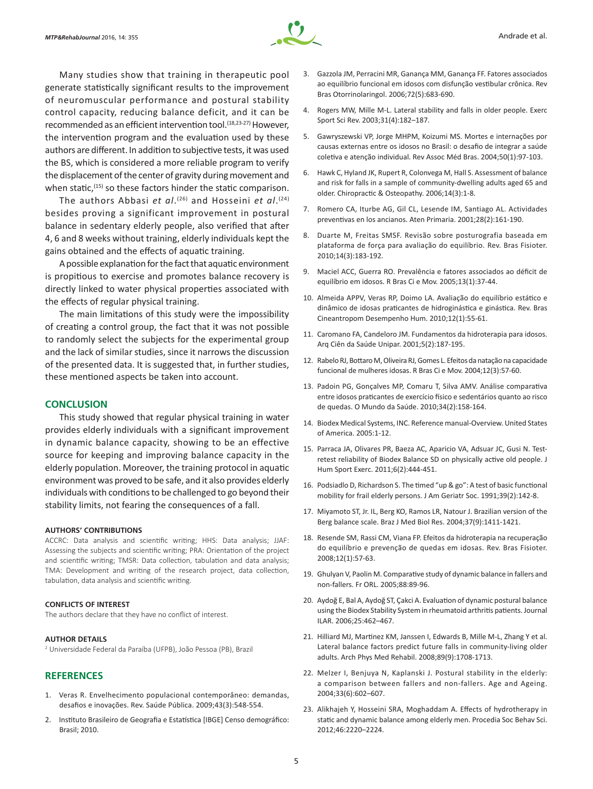

Many studies show that training in therapeutic pool generate statistically significant results to the improvement of neuromuscular performance and postural stability control capacity, reducing balance deficit, and it can be recommended as an efficient intervention tool.<sup>(18,23-27)</sup> However, the intervention program and the evaluation used by these authors are different. In addition to subjective tests, it was used the BS, which is considered a more reliable program to verify the displacement of the center of gravity during movement and when static,<sup>(15)</sup> so these factors hinder the static comparison.

The authors Abbasi *et al*. (26) and Hosseini *et al*. (24) besides proving a significant improvement in postural balance in sedentary elderly people, also verified that after 4, 6 and 8 weeks without training, elderly individuals kept the gains obtained and the effects of aquatic training.

A possible explanation for the fact that aquatic environment is propitious to exercise and promotes balance recovery is directly linked to water physical properties associated with the effects of regular physical training.

The main limitations of this study were the impossibility of creating a control group, the fact that it was not possible to randomly select the subjects for the experimental group and the lack of similar studies, since it narrows the discussion of the presented data. It is suggested that, in further studies, these mentioned aspects be taken into account.

#### **CONCLUSION**

This study showed that regular physical training in water provides elderly individuals with a significant improvement in dynamic balance capacity, showing to be an effective source for keeping and improving balance capacity in the elderly population. Moreover, the training protocol in aquatic environment was proved to be safe, and it also provides elderly individuals with conditions to be challenged to go beyond their stability limits, not fearing the consequences of a fall.

#### **AUTHORS' CONTRIBUTIONS**

ACCRC: Data analysis and scientific writing; HHS: Data analysis; JJAF: Assessing the subjects and scientific writing; PRA: Orientation of the project and scientific writing; TMSR: Data collection, tabulation and data analysis; TMA: Development and writing of the research project, data collection, tabulation, data analysis and scientific writing.

#### **CONFLICTS OF INTEREST**

The authors declare that they have no conflict of interest.

#### **AUTHOR DETAILS**

2 Universidade Federal da Paraíba (UFPB), João Pessoa (PB), Brazil

## **REFERENCES**

- 1. Veras R. Envelhecimento populacional contemporâneo: demandas, desafios e inovações. Rev. Saúde Pública. 2009;43(3):548-554.
- 2. Instituto Brasileiro de Geografia e Estatística [IBGE] Censo demográfico: Brasil; 2010.
- 3. Gazzola JM, Perracini MR, Ganança MM, Ganança FF. Fatores associados ao equilíbrio funcional em idosos com disfunção vestibular crônica. Rev Bras Otorrinolaringol. 2006;72(5):683-690.
- 4. Rogers MW, Mille M-L. Lateral stability and falls in older people. Exerc Sport Sci Rev. 2003;31(4):182–187.
- 5. Gawryszewski VP, Jorge MHPM, Koizumi MS. Mortes e internações por causas externas entre os idosos no Brasil: o desafio de integrar a saúde coletiva e atenção individual. Rev Assoc Méd Bras. 2004;50(1):97-103.
- 6. Hawk C, Hyland JK, Rupert R, Colonvega M, Hall S. Assessment of balance and risk for falls in a sample of community-dwelling adults aged 65 and older. Chiropractic & Osteopathy. 2006;14(3):1-8.
- 7. Romero CA, Iturbe AG, Gil CL, Lesende IM, Santiago AL. Actividades preventivas en los ancianos. Aten Primaria. 2001;28(2):161-190.
- 8. Duarte M, Freitas SMSF. Revisão sobre posturografia baseada em plataforma de força para avaliação do equilíbrio. Rev. Bras Fisioter. 2010;14(3):183-192.
- 9. Maciel ACC, Guerra RO. Prevalência e fatores associados ao déficit de equilíbrio em idosos. R Bras Ci e Mov. 2005;13(1):37-44.
- 10. Almeida APPV, Veras RP, Doimo LA. Avaliação do equilíbrio estático e dinâmico de idosas praticantes de hidroginástica e ginástica. Rev. Bras Cineantropom Desempenho Hum. 2010;12(1):55-61.
- 11. Caromano FA, Candeloro JM. Fundamentos da hidroterapia para idosos. Arq Ciên da Saúde Unipar. 2001;5(2):187-195.
- 12. Rabelo RJ, Bottaro M, Oliveira RJ, Gomes L. Efeitos da natação na capacidade funcional de mulheres idosas. R Bras Ci e Mov. 2004;12(3):57-60.
- 13. Padoin PG, Gonçalves MP, Comaru T, Silva AMV. Análise comparativa entre idosos praticantes de exercício físico e sedentários quanto ao risco de quedas. O Mundo da Saúde. 2010;34(2):158-164.
- 14. Biodex Medical Systems, INC. Reference manual-Overview. United States of America. 2005:1-12.
- 15. Parraca JA, Olivares PR, Baeza AC, Aparicio VA, Adsuar JC, Gusi N. Testretest reliability of Biodex Balance SD on physically active old people. J Hum Sport Exerc. 2011;6(2):444-451.
- 16. Podsiadlo D, Richardson S. The timed "up & go": A test of basic functional mobility for frail elderly persons. J Am Geriatr Soc. 1991;39(2):142-8.
- 17. Miyamoto ST, Jr. IL, Berg KO, Ramos LR, Natour J. Brazilian version of the Berg balance scale. Braz J Med Biol Res. 2004;37(9):1411-1421.
- 18. Resende SM, Rassi CM, Viana FP. Efeitos da hidroterapia na recuperação do equilíbrio e prevenção de quedas em idosas. Rev. Bras Fisioter. 2008;12(1):57-63.
- 19. Ghulyan V, Paolin M. Comparative study of dynamic balance in fallers and non-fallers. Fr ORL. 2005;88:89-96.
- 20. Aydoğ E, Bal A, Aydoğ ST, Çakci A. Evaluation of dynamic postural balance using the Biodex Stability System in rheumatoid arthritis patients. Journal ILAR. 2006;25:462–467.
- 21. Hilliard MJ, Martinez KM, Janssen I, Edwards B, Mille M-L, Zhang Y et al. Lateral balance factors predict future falls in community-living older adults. Arch Phys Med Rehabil. 2008;89(9):1708-1713.
- 22. Melzer I, Benjuya N, Kaplanski J. Postural stability in the elderly: a comparison between fallers and non-fallers. Age and Ageing. 2004;33(6):602–607.
- 23. Alikhajeh Y, Hosseini SRA, Moghaddam A. Effects of hydrotherapy in static and dynamic balance among elderly men. Procedia Soc Behav Sci. 2012;46:2220–2224.